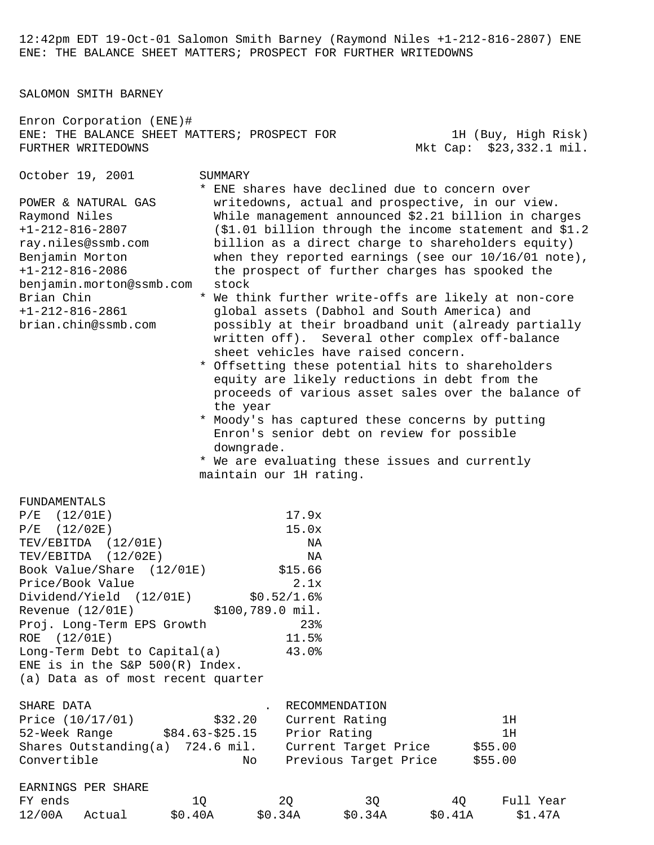12:42pm EDT 19-Oct-01 Salomon Smith Barney (Raymond Niles +1-212-816-2807) ENE ENE: THE BALANCE SHEET MATTERS; PROSPECT FOR FURTHER WRITEDOWNS

SALOMON SMITH BARNEY

| Enron Corporation (ENE)#<br>ENE: THE BALANCE SHEET MATTERS; PROSPECT FOR<br>FURTHER WRITEDOWNS                                                                                                                                                                                                                                                                           |                                                                       |                                                                                     |                                                                                                                                                                                                                                                                                                                                                                                                                                                                                                                                                                                                                                                                                                                                                                                                                                                                                                                                                                   |    | 1H (Buy, High Risk)<br>Mkt Cap: \$23,332.1 mil. |  |
|--------------------------------------------------------------------------------------------------------------------------------------------------------------------------------------------------------------------------------------------------------------------------------------------------------------------------------------------------------------------------|-----------------------------------------------------------------------|-------------------------------------------------------------------------------------|-------------------------------------------------------------------------------------------------------------------------------------------------------------------------------------------------------------------------------------------------------------------------------------------------------------------------------------------------------------------------------------------------------------------------------------------------------------------------------------------------------------------------------------------------------------------------------------------------------------------------------------------------------------------------------------------------------------------------------------------------------------------------------------------------------------------------------------------------------------------------------------------------------------------------------------------------------------------|----|-------------------------------------------------|--|
| October 19, 2001<br>POWER & NATURAL GAS<br>Raymond Niles<br>$+1 - 212 - 816 - 2807$<br>ray.niles@ssmb.com<br>Benjamin Morton<br>$+1 - 212 - 816 - 2086$<br>benjamin.morton@ssmb.com<br>Brian Chin<br>$+1-212-816-2861$<br>brian.chin@ssmb.com                                                                                                                            | SUMMARY<br>stock<br>the year<br>downgrade.<br>maintain our 1H rating. |                                                                                     | * ENE shares have declined due to concern over<br>writedowns, actual and prospective, in our view.<br>While management announced \$2.21 billion in charges<br>(\$1.01 billion through the income statement and \$1.2<br>billion as a direct charge to shareholders equity)<br>when they reported earnings (see our $10/16/01$ note),<br>the prospect of further charges has spooked the<br>* We think further write-offs are likely at non-core<br>global assets (Dabhol and South America) and<br>possibly at their broadband unit (already partially<br>written off). Several other complex off-balance<br>sheet vehicles have raised concern.<br>* Offsetting these potential hits to shareholders<br>equity are likely reductions in debt from the<br>proceeds of various asset sales over the balance of<br>* Moody's has captured these concerns by putting<br>Enron's senior debt on review for possible<br>* We are evaluating these issues and currently |    |                                                 |  |
| FUNDAMENTALS<br>$\rm P/E$<br>(12/01E)<br>$\rm P/E$<br>(12/02E)<br>TEV/EBITDA (12/01E)<br>TEV/EBITDA (12/02E)<br>Book Value/Share<br>(12/01E)<br>Price/Book Value<br>Dividend/Yield (12/01E)<br>Revenue (12/01E)<br>Proj. Long-Term EPS Growth<br>ROE (12/01E)<br>Long-Term Debt to Capital(a)<br>ENE is in the S&P $500(R)$ Index.<br>(a) Data as of most recent quarter | \$100,789.0 mil.                                                      | 17.9x<br>15.0x<br>NA<br>NA<br>\$15.66<br>2.1x<br>\$0.52/1.6<br>23<br>11.5%<br>43.0% |                                                                                                                                                                                                                                                                                                                                                                                                                                                                                                                                                                                                                                                                                                                                                                                                                                                                                                                                                                   |    |                                                 |  |
| SHARE DATA<br>Price (10/17/01)<br>Shares Outstanding(a) 724.6 mil.<br>Convertible                                                                                                                                                                                                                                                                                        | \$32.20<br>No                                                         | RECOMMENDATION<br>Current Rating<br>Prior Rating                                    | Current Target Price \$55.00<br>Previous Target Price                                                                                                                                                                                                                                                                                                                                                                                                                                                                                                                                                                                                                                                                                                                                                                                                                                                                                                             |    | 1H<br>1H<br>\$55.00                             |  |
| EARNINGS PER SHARE<br>FY ends                                                                                                                                                                                                                                                                                                                                            | 1Q                                                                    | 2Q                                                                                  | 3Q                                                                                                                                                                                                                                                                                                                                                                                                                                                                                                                                                                                                                                                                                                                                                                                                                                                                                                                                                                | 40 | Full Year                                       |  |

12/00A Actual \$0.40A \$0.34A \$0.34A \$0.41A \$1.47A